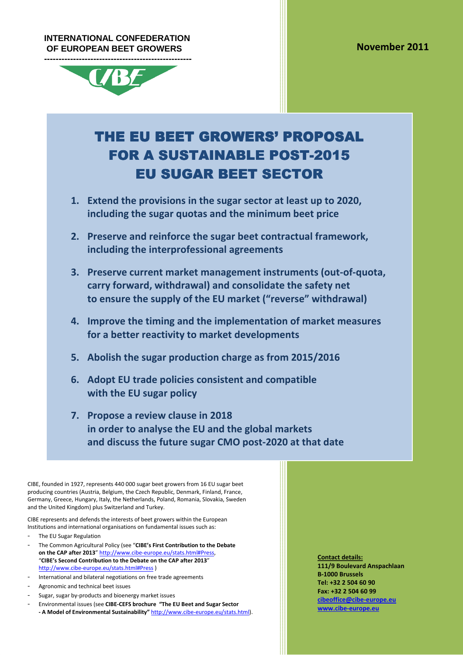#### **INTERNATIONAL CONFEDERATION OF EUROPEAN BEET GROWERS**



# THE EU BEET GROWERS' PROPOSAL **FOR A SUSTAINABLE POST-2015 EU SUGAR BEET SECTOR**

- **1. Extend the provisions in the sugar sector at least up to 2020, including the sugar quotas and the minimum beet price**
- **2. Preserve and reinforce the sugar beet contractual framework, including the interprofessional agreements**
- **3. Preserve current market management instruments (out-of-quota, carry forward, withdrawal) and consolidate the safety net to ensure the supply of the EU market ("reverse" withdrawal)**
- **4. Improve the timing and the implementation of market measures for a better reactivity to market developments**
- **5. Abolish the sugar production charge as from 2015/2016**
- **6. Adopt EU trade policies consistent and compatible with the EU sugar policy**
- **7. Propose a review clause in 2018 in order to analyse the EU and the global markets and discuss the future sugar CMO post-2020 at that date**

CIBE, founded in 1927, represents 440 000 sugar beet growers from 16 EU sugar beet producing countries (Austria, Belgium, the Czech Republic, Denmark, Finland, France, Germany, Greece, Hungary, Italy, the Netherlands, Poland, Romania, Slovakia, Sweden and the United Kingdom) plus Switzerland and Turkey.

CIBE represents and defends the interests of beet growers within the European Institutions and international organisations on fundamental issues such as:

- The EU Sugar Regulation
- The Common Agricultural Policy (see "**CIBE's First Contribution to the Debate on the CAP after 2013**" http://www.cibe-europe.eu/stats.html#Press, "**CIBE's Second Contribution to the Debate on the CAP after 2013**" http://www.cibe-europe.eu/stats.html#Press )
- International and bilateral negotiations on free trade agreements
- Agronomic and technical beet issues
- Sugar, sugar by-products and bioenergy market issues
- Environmental issues (see **CIBE-CEFS brochure "The EU Beet and Sugar Sector - A Model of Environmental Sustainability"** http://www.cibe-europe.eu/stats.html).

**Contact details: 111/9 Boulevard Anspachlaan B-1000 Brussels Tel: +32 2 504 60 90 Fax: +32 2 504 60 99 cibeoffice@cibe-europe.eu www.cibe-europe.eu**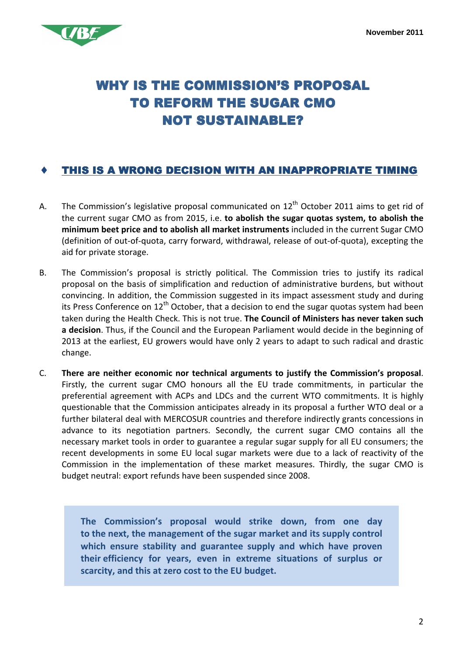

## WHY IS THE COMMISSION'S PROPOSAL TO REFORM THE SUGAR CMO **NOT SUSTAINABLE?**

#### $\div$  THIS IS A WRONG DECISION WITH AN INAPPROPRIATE TIMING

- A. The Commission's legislative proposal communicated on  $12<sup>th</sup>$  October 2011 aims to get rid of the current sugar CMO as from 2015, i.e. **to abolish the sugar quotas system, to abolish the minimum beet price and to abolish all market instruments** included in the current Sugar CMO (definition of out-of-quota, carry forward, withdrawal, release of out-of-quota), excepting the aid for private storage.
- B. The Commission's proposal is strictly political. The Commission tries to justify its radical proposal on the basis of simplification and reduction of administrative burdens, but without convincing. In addition, the Commission suggested in its impact assessment study and during its Press Conference on  $12<sup>th</sup>$  October, that a decision to end the sugar quotas system had been taken during the Health Check. This is not true. **The Council of Ministers has never taken such a decision**. Thus, if the Council and the European Parliament would decide in the beginning of 2013 at the earliest, EU growers would have only 2 years to adapt to such radical and drastic change.
- C. **There are neither economic nor technical arguments to justify the Commission's proposal**. Firstly, the current sugar CMO honours all the EU trade commitments, in particular the preferential agreement with ACPs and LDCs and the current WTO commitments. It is highly questionable that the Commission anticipates already in its proposal a further WTO deal or a further bilateral deal with MERCOSUR countries and therefore indirectly grants concessions in advance to its negotiation partners. Secondly, the current sugar CMO contains all the necessary market tools in order to guarantee a regular sugar supply for all EU consumers; the recent developments in some EU local sugar markets were due to a lack of reactivity of the Commission in the implementation of these market measures. Thirdly, the sugar CMO is budget neutral: export refunds have been suspended since 2008.

**The Commission's proposal would strike down, from one day to the next, the management of the sugar market and its supply control which ensure stability and guarantee supply and which have proven their efficiency for years, even in extreme situations of surplus or scarcity, and this at zero cost to the EU budget.**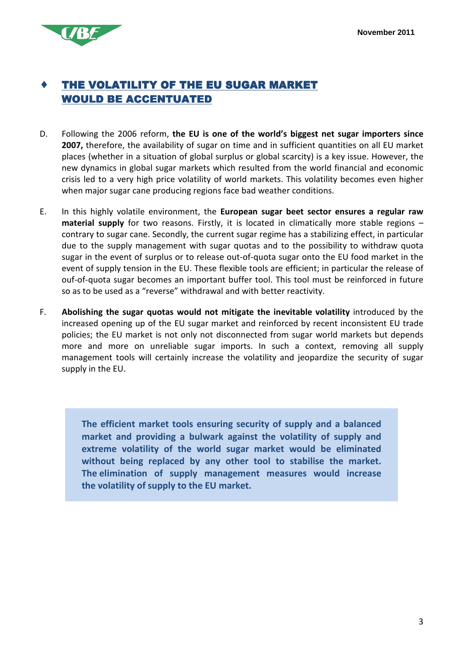

#### THE VOLATILITY OF THE EU SUGAR MARKET **WOULD BE ACCENTUATED**

- D. Following the 2006 reform, **the EU is one of the world's biggest net sugar importers since**  2007, therefore, the availability of sugar on time and in sufficient quantities on all EU market places (whether in a situation of global surplus or global scarcity) is a key issue. However, the new dynamics in global sugar markets which resulted from the world financial and economic crisis led to a very high price volatility of world markets. This volatility becomes even higher when major sugar cane producing regions face bad weather conditions.
- E. In this highly volatile environment, the **European sugar beet sector ensures a regular raw material supply** for two reasons. Firstly, it is located in climatically more stable regions – contrary to sugar cane. Secondly, the current sugar regime has a stabilizing effect, in particular due to the supply management with sugar quotas and to the possibility to withdraw quota sugar in the event of surplus or to release out-of-quota sugar onto the EU food market in the event of supply tension in the EU. These flexible tools are efficient; in particular the release of ouf-of-quota sugar becomes an important buffer tool. This tool must be reinforced in future so as to be used as a "reverse" withdrawal and with better reactivity.
- F. **Abolishing the sugar quotas would not mitigate the inevitable volatility** introduced by the increased opening up of the EU sugar market and reinforced by recent inconsistent EU trade policies; the EU market is not only not disconnected from sugar world markets but depends more and more on unreliable sugar imports. In such a context, removing all supply management tools will certainly increase the volatility and jeopardize the security of sugar supply in the EU.

**The efficient market tools ensuring security of supply and a balanced market and providing a bulwark against the volatility of supply and extreme volatility of the world sugar market would be eliminated without being replaced by any other tool to stabilise the market. The elimination of supply management measures would increase the volatility of supply to the EU market.**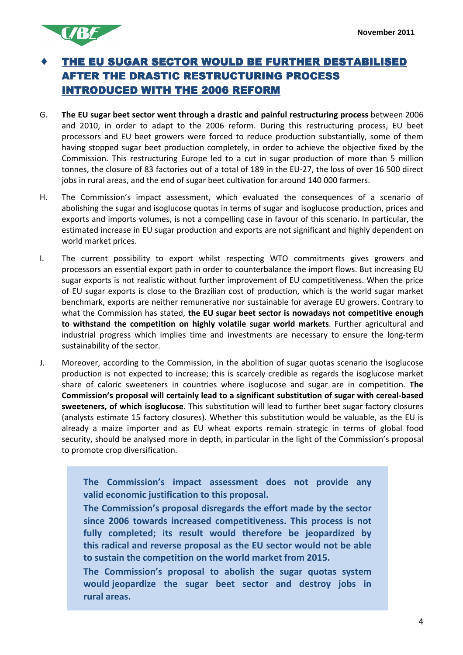

#### THE EU SUGAR SECTOR WOULD BE FURTHER DESTABILISED AFTER THE DRASTIC RESTRUCTURING PROCESS INTRODUCED WITH THE 2006 REFORM

- G. **The EU sugar beet sector went through a drastic and painful restructuring process** between 2006 and 2010, in order to adapt to the 2006 reform. During this restructuring process, EU beet processors and EU beet growers were forced to reduce production substantially, some of them having stopped sugar beet production completely, in order to achieve the objective fixed by the Commission. This restructuring Europe led to a cut in sugar production of more than 5 million tonnes, the closure of 83 factories out of a total of 189 in the EU-27, the loss of over 16 500 direct jobs in rural areas, and the end of sugar beet cultivation for around 140 000 farmers.
- H. The Commission's impact assessment, which evaluated the consequences of a scenario of abolishing the sugar and isoglucose quotas in terms of sugar and isoglucose production, prices and exports and imports volumes, is not a compelling case in favour of this scenario. In particular, the estimated increase in EU sugar production and exports are not significant and highly dependent on world market prices.
- I. The current possibility to export whilst respecting WTO commitments gives growers and processors an essential export path in order to counterbalance the import flows. But increasing EU sugar exports is not realistic without further improvement of EU competitiveness. When the price of EU sugar exports is close to the Brazilian cost of production, which is the world sugar market benchmark, exports are neither remunerative nor sustainable for average EU growers. Contrary to what the Commission has stated, **the EU sugar beet sector is nowadays not competitive enough to withstand the competition on highly volatile sugar world markets**. Further agricultural and industrial progress which implies time and investments are necessary to ensure the long-term sustainability of the sector.
- J. Moreover, according to the Commission, in the abolition of sugar quotas scenario the isoglucose production is not expected to increase; this is scarcely credible as regards the isoglucose market share of caloric sweeteners in countries where isoglucose and sugar are in competition. **The Commission's proposal will certainly lead to a significant substitution of sugar with cereal-based sweeteners, of which isoglucose**. This substitution will lead to further beet sugar factory closures (analysts estimate 15 factory closures). Whether this substitution would be valuable, as the EU is already a maize importer and as EU wheat exports remain strategic in terms of global food security, should be analysed more in depth, in particular in the light of the Commission's proposal to promote crop diversification.

**The Commission's impact assessment does not provide any valid economic justification to this proposal.** 

**The Commission's proposal disregards the effort made by the sector since 2006 towards increased competitiveness. This process is not fully completed; its result would therefore be jeopardized by this radical and reverse proposal as the EU sector would not be able to sustain the competition on the world market from 2015.** 

**The Commission's proposal to abolish the sugar quotas system would jeopardize the sugar beet sector and destroy jobs in rural areas.**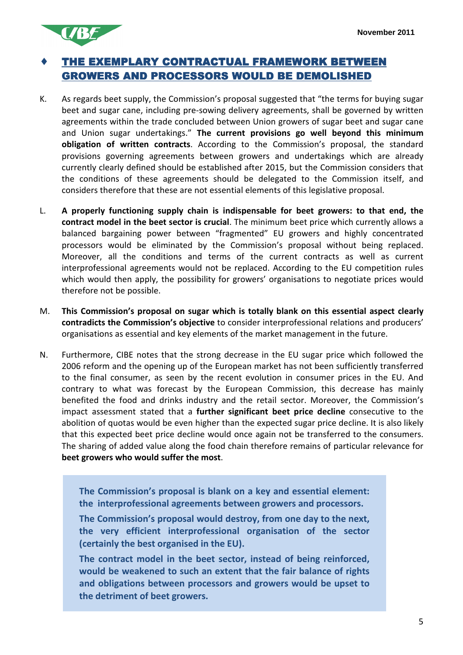

### THE EXEMPLARY CONTRACTUAL FRAMEWORK BETWEEN **GROWERS AND PROCESSORS WOULD BE DEMOLISHED**

- K. As regards beet supply, the Commission's proposal suggested that "the terms for buying sugar beet and sugar cane, including pre-sowing delivery agreements, shall be governed by written agreements within the trade concluded between Union growers of sugar beet and sugar cane and Union sugar undertakings." **The current provisions go well beyond this minimum obligation of written contracts**. According to the Commission's proposal, the standard provisions governing agreements between growers and undertakings which are already currently clearly defined should be established after 2015, but the Commission considers that the conditions of these agreements should be delegated to the Commission itself, and considers therefore that these are not essential elements of this legislative proposal.
- L. **A properly functioning supply chain is indispensable for beet growers: to that end, the contract model in the beet sector is crucial**. The minimum beet price which currently allows a balanced bargaining power between "fragmented" EU growers and highly concentrated processors would be eliminated by the Commission's proposal without being replaced. Moreover, all the conditions and terms of the current contracts as well as current interprofessional agreements would not be replaced. According to the EU competition rules which would then apply, the possibility for growers' organisations to negotiate prices would therefore not be possible.
- M. **This Commission's proposal on sugar which is totally blank on this essential aspect clearly contradicts the Commission's objective** to consider interprofessional relations and producers' organisations as essential and key elements of the market management in the future.
- N. Furthermore, CIBE notes that the strong decrease in the EU sugar price which followed the 2006 reform and the opening up of the European market has not been sufficiently transferred to the final consumer, as seen by the recent evolution in consumer prices in the EU. And contrary to what was forecast by the European Commission, this decrease has mainly benefited the food and drinks industry and the retail sector. Moreover, the Commission's impact assessment stated that a **further significant beet price decline** consecutive to the abolition of quotas would be even higher than the expected sugar price decline. It is also likely that this expected beet price decline would once again not be transferred to the consumers. The sharing of added value along the food chain therefore remains of particular relevance for **beet growers who would suffer the most**.

**The Commission's proposal is blank on a key and essential element: the interprofessional agreements between growers and processors.** 

**The Commission's proposal would destroy, from one day to the next, the very efficient interprofessional organisation of the sector (certainly the best organised in the EU).** 

**The contract model in the beet sector, instead of being reinforced, would be weakened to such an extent that the fair balance of rights and obligations between processors and growers would be upset to the detriment of beet growers.**